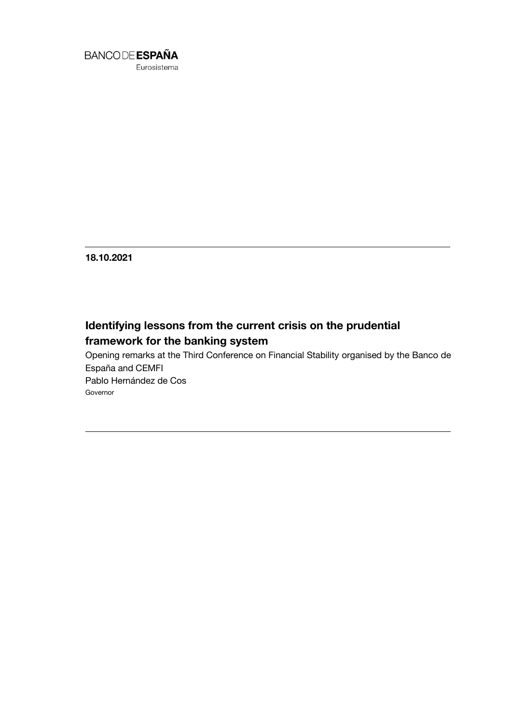

**18.10.2021**

# **Identifying lessons from the current crisis on the prudential framework for the banking system**

Opening remarks at the Third Conference on Financial Stability organised by the Banco de España and CEMFI Pablo Hernández de Cos Governor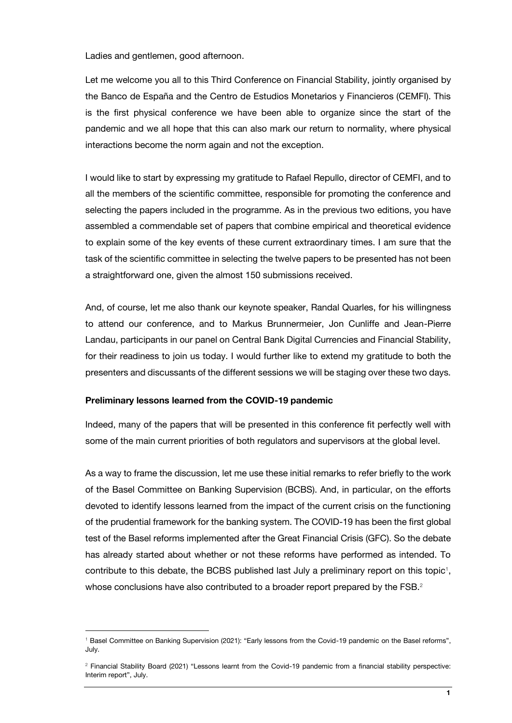Ladies and gentlemen, good afternoon.

Let me welcome you all to this Third Conference on Financial Stability, jointly organised by the Banco de España and the Centro de Estudios Monetarios y Financieros (CEMFI). This is the first physical conference we have been able to organize since the start of the pandemic and we all hope that this can also mark our return to normality, where physical interactions become the norm again and not the exception.

I would like to start by expressing my gratitude to Rafael Repullo, director of CEMFI, and to all the members of the scientific committee, responsible for promoting the conference and selecting the papers included in the programme. As in the previous two editions, you have assembled a commendable set of papers that combine empirical and theoretical evidence to explain some of the key events of these current extraordinary times. I am sure that the task of the scientific committee in selecting the twelve papers to be presented has not been a straightforward one, given the almost 150 submissions received.

And, of course, let me also thank our keynote speaker, Randal Quarles, for his willingness to attend our conference, and to Markus Brunnermeier, Jon Cunliffe and Jean-Pierre Landau, participants in our panel on Central Bank Digital Currencies and Financial Stability, for their readiness to join us today. I would further like to extend my gratitude to both the presenters and discussants of the different sessions we will be staging over these two days.

#### **Preliminary lessons learned from the COVID-19 pandemic**

1

Indeed, many of the papers that will be presented in this conference fit perfectly well with some of the main current priorities of both regulators and supervisors at the global level.

As a way to frame the discussion, let me use these initial remarks to refer briefly to the work of the Basel Committee on Banking Supervision (BCBS). And, in particular, on the efforts devoted to identify lessons learned from the impact of the current crisis on the functioning of the prudential framework for the banking system. The COVID-19 has been the first global test of the Basel reforms implemented after the Great Financial Crisis (GFC). So the debate has already started about whether or not these reforms have performed as intended. To contribute to this debate, the BCBS published last July a preliminary report on this topic<sup>1</sup>, whose conclusions have also contributed to a broader report prepared by the FSB.<sup>2</sup>

<sup>1</sup> Basel Committee on Banking Supervision (2021): "Early lessons from the Covid-19 pandemic on the Basel reforms", July.

<sup>2</sup> Financial Stability Board (2021) "Lessons learnt from the Covid-19 pandemic from a financial stability perspective: Interim report", July.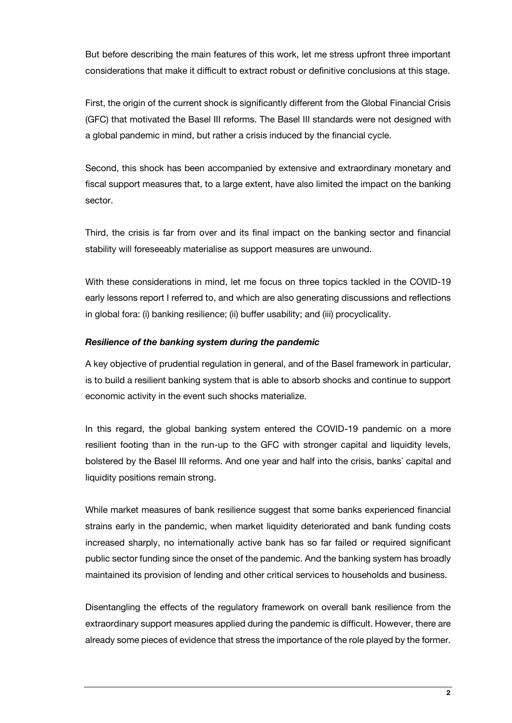But before describing the main features of this work, let me stress upfront three important considerations that make it difficult to extract robust or definitive conclusions at this stage.

First, the origin of the current shock is significantly different from the Global Financial Crisis (GFC) that motivated the Basel III reforms. The Basel III standards were not designed with a global pandemic in mind, but rather a crisis induced by the financial cycle.

Second, this shock has been accompanied by extensive and extraordinary monetary and fiscal support measures that, to a large extent, have also limited the impact on the banking sector.

Third, the crisis is far from over and its final impact on the banking sector and financial stability will foreseeably materialise as support measures are unwound.

With these considerations in mind, let me focus on three topics tackled in the COVID-19 early lessons report I referred to, and which are also generating discussions and reflections in global fora: (i) banking resilience; (ii) buffer usability; and (iii) procyclicality.

## *Resilience of the banking system during the pandemic*

A key objective of prudential regulation in general, and of the Basel framework in particular, is to build a resilient banking system that is able to absorb shocks and continue to support economic activity in the event such shocks materialize.

In this regard, the global banking system entered the COVID-19 pandemic on a more resilient footing than in the run-up to the GFC with stronger capital and liquidity levels, bolstered by the Basel III reforms. And one year and half into the crisis, banks´ capital and liquidity positions remain strong.

While market measures of bank resilience suggest that some banks experienced financial strains early in the pandemic, when market liquidity deteriorated and bank funding costs increased sharply, no internationally active bank has so far failed or required significant public sector funding since the onset of the pandemic. And the banking system has broadly maintained its provision of lending and other critical services to households and business.

Disentangling the effects of the regulatory framework on overall bank resilience from the extraordinary support measures applied during the pandemic is difficult. However, there are already some pieces of evidence that stress the importance of the role played by the former.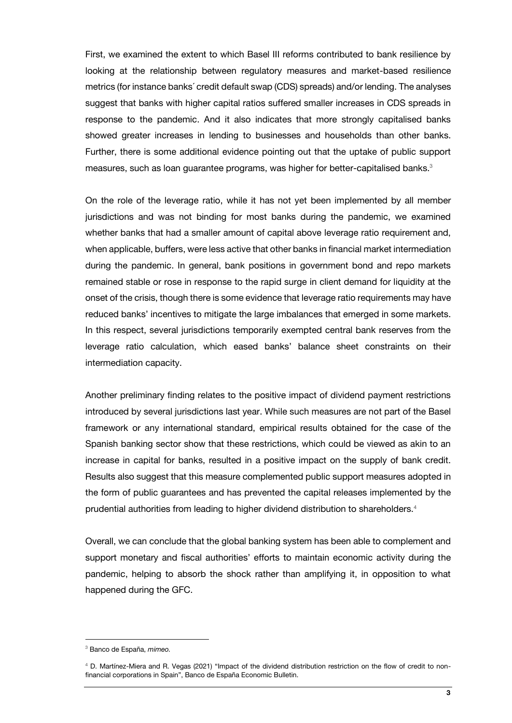First, we examined the extent to which Basel III reforms contributed to bank resilience by looking at the relationship between regulatory measures and market-based resilience metrics (for instance banks´ credit default swap (CDS) spreads) and/or lending. The analyses suggest that banks with higher capital ratios suffered smaller increases in CDS spreads in response to the pandemic. And it also indicates that more strongly capitalised banks showed greater increases in lending to businesses and households than other banks. Further, there is some additional evidence pointing out that the uptake of public support measures, such as loan guarantee programs, was higher for better-capitalised banks.<sup>3</sup>

On the role of the leverage ratio, while it has not yet been implemented by all member jurisdictions and was not binding for most banks during the pandemic, we examined whether banks that had a smaller amount of capital above leverage ratio requirement and, when applicable, buffers, were less active that other banks in financial market intermediation during the pandemic. In general, bank positions in government bond and repo markets remained stable or rose in response to the rapid surge in client demand for liquidity at the onset of the crisis, though there is some evidence that leverage ratio requirements may have reduced banks' incentives to mitigate the large imbalances that emerged in some markets. In this respect, several jurisdictions temporarily exempted central bank reserves from the leverage ratio calculation, which eased banks' balance sheet constraints on their intermediation capacity.

Another preliminary finding relates to the positive impact of dividend payment restrictions introduced by several jurisdictions last year. While such measures are not part of the Basel framework or any international standard, empirical results obtained for the case of the Spanish banking sector show that these restrictions, which could be viewed as akin to an increase in capital for banks, resulted in a positive impact on the supply of bank credit. Results also suggest that this measure complemented public support measures adopted in the form of public guarantees and has prevented the capital releases implemented by the prudential authorities from leading to higher dividend distribution to shareholders.<sup>4</sup>

Overall, we can conclude that the global banking system has been able to complement and support monetary and fiscal authorities' efforts to maintain economic activity during the pandemic, helping to absorb the shock rather than amplifying it, in opposition to what happened during the GFC.

l

<sup>3</sup> Banco de España, *mimeo.*

<sup>4</sup> D. Martínez-Miera and R. Vegas (2021) "Impact of the dividend distribution restriction on the flow of credit to nonfinancial corporations in Spain", Banco de España Economic Bulletin.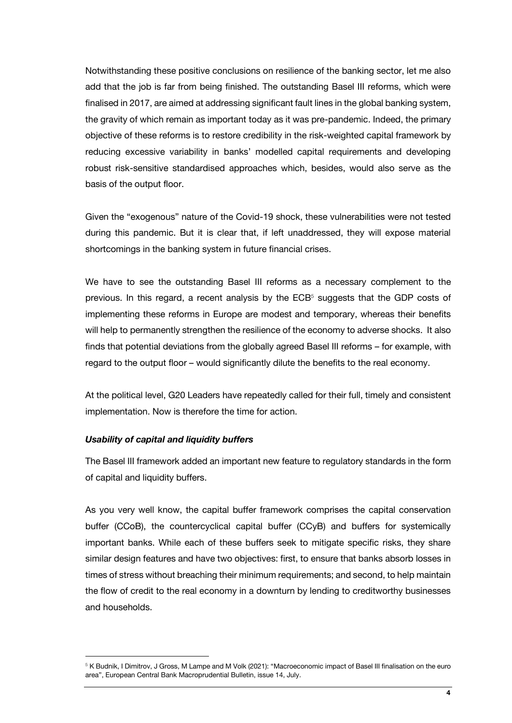Notwithstanding these positive conclusions on resilience of the banking sector, let me also add that the job is far from being finished. The outstanding Basel III reforms, which were finalised in 2017, are aimed at addressing significant fault lines in the global banking system, the gravity of which remain as important today as it was pre-pandemic. Indeed, the primary objective of these reforms is to restore credibility in the risk-weighted capital framework by reducing excessive variability in banks' modelled capital requirements and developing robust risk-sensitive standardised approaches which, besides, would also serve as the basis of the output floor.

Given the "exogenous" nature of the Covid-19 shock, these vulnerabilities were not tested during this pandemic. But it is clear that, if left unaddressed, they will expose material shortcomings in the banking system in future financial crises.

We have to see the outstanding Basel III reforms as a necessary complement to the previous. In this regard, a recent analysis by the  $ECB<sup>5</sup>$  suggests that the GDP costs of implementing these reforms in Europe are modest and temporary, whereas their benefits will help to permanently strengthen the resilience of the economy to adverse shocks. It also finds that potential deviations from the globally agreed Basel III reforms – for example, with regard to the output floor – would significantly dilute the benefits to the real economy.

At the political level, G20 Leaders have repeatedly called for their full, timely and consistent implementation. Now is therefore the time for action.

## *Usability of capital and liquidity buffers*

1

The Basel III framework added an important new feature to regulatory standards in the form of capital and liquidity buffers.

As you very well know, the capital buffer framework comprises the capital conservation buffer (CCoB), the countercyclical capital buffer (CCyB) and buffers for systemically important banks. While each of these buffers seek to mitigate specific risks, they share similar design features and have two objectives: first, to ensure that banks absorb losses in times of stress without breaching their minimum requirements; and second, to help maintain the flow of credit to the real economy in a downturn by lending to creditworthy businesses and households.

<sup>&</sup>lt;sup>5</sup> K Budnik, I Dimitrov, J Gross, M Lampe and M Volk (2021): "Macroeconomic impact of Basel III finalisation on the euro area", European Central Bank Macroprudential Bulletin, issue 14, July.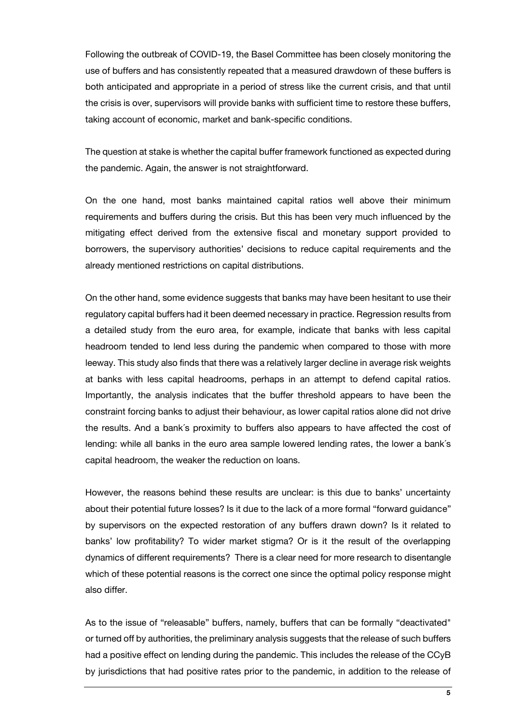Following the outbreak of COVID-19, the Basel Committee has been closely monitoring the use of buffers and has consistently repeated that a measured drawdown of these buffers is both anticipated and appropriate in a period of stress like the current crisis, and that until the crisis is over, supervisors will provide banks with sufficient time to restore these buffers, taking account of economic, market and bank-specific conditions.

The question at stake is whether the capital buffer framework functioned as expected during the pandemic. Again, the answer is not straightforward.

On the one hand, most banks maintained capital ratios well above their minimum requirements and buffers during the crisis. But this has been very much influenced by the mitigating effect derived from the extensive fiscal and monetary support provided to borrowers, the supervisory authorities' decisions to reduce capital requirements and the already mentioned restrictions on capital distributions.

On the other hand, some evidence suggests that banks may have been hesitant to use their regulatory capital buffers had it been deemed necessary in practice. Regression results from a detailed study from the euro area, for example, indicate that banks with less capital headroom tended to lend less during the pandemic when compared to those with more leeway. This study also finds that there was a relatively larger decline in average risk weights at banks with less capital headrooms, perhaps in an attempt to defend capital ratios. Importantly, the analysis indicates that the buffer threshold appears to have been the constraint forcing banks to adjust their behaviour, as lower capital ratios alone did not drive the results. And a bank´s proximity to buffers also appears to have affected the cost of lending: while all banks in the euro area sample lowered lending rates, the lower a bank´s capital headroom, the weaker the reduction on loans.

However, the reasons behind these results are unclear: is this due to banks' uncertainty about their potential future losses? Is it due to the lack of a more formal "forward guidance" by supervisors on the expected restoration of any buffers drawn down? Is it related to banks' low profitability? To wider market stigma? Or is it the result of the overlapping dynamics of different requirements? There is a clear need for more research to disentangle which of these potential reasons is the correct one since the optimal policy response might also differ.

As to the issue of "releasable" buffers, namely, buffers that can be formally "deactivated" or turned off by authorities, the preliminary analysis suggests that the release of such buffers had a positive effect on lending during the pandemic. This includes the release of the CCyB by jurisdictions that had positive rates prior to the pandemic, in addition to the release of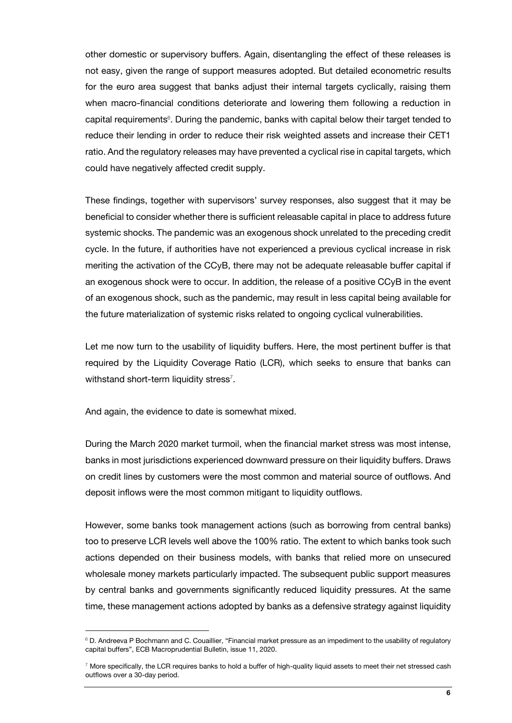other domestic or supervisory buffers. Again, disentangling the effect of these releases is not easy, given the range of support measures adopted. But detailed econometric results for the euro area suggest that banks adjust their internal targets cyclically, raising them when macro-financial conditions deteriorate and lowering them following a reduction in capital requirements<sup>6</sup>. During the pandemic, banks with capital below their target tended to reduce their lending in order to reduce their risk weighted assets and increase their CET1 ratio. And the regulatory releases may have prevented a cyclical rise in capital targets, which could have negatively affected credit supply.

These findings, together with supervisors' survey responses, also suggest that it may be beneficial to consider whether there is sufficient releasable capital in place to address future systemic shocks. The pandemic was an exogenous shock unrelated to the preceding credit cycle. In the future, if authorities have not experienced a previous cyclical increase in risk meriting the activation of the CCyB, there may not be adequate releasable buffer capital if an exogenous shock were to occur. In addition, the release of a positive CCyB in the event of an exogenous shock, such as the pandemic, may result in less capital being available for the future materialization of systemic risks related to ongoing cyclical vulnerabilities.

Let me now turn to the usability of liquidity buffers. Here, the most pertinent buffer is that required by the Liquidity Coverage Ratio (LCR), which seeks to ensure that banks can withstand short-term liquidity stress<sup>7</sup>.

And again, the evidence to date is somewhat mixed.

1

During the March 2020 market turmoil, when the financial market stress was most intense, banks in most jurisdictions experienced downward pressure on their liquidity buffers. Draws on credit lines by customers were the most common and material source of outflows. And deposit inflows were the most common mitigant to liquidity outflows.

However, some banks took management actions (such as borrowing from central banks) too to preserve LCR levels well above the 100% ratio. The extent to which banks took such actions depended on their business models, with banks that relied more on unsecured wholesale money markets particularly impacted. The subsequent public support measures by central banks and governments significantly reduced liquidity pressures. At the same time, these management actions adopted by banks as a defensive strategy against liquidity

 $6$  D. Andreeva P Bochmann and C. Couaillier, "Financial market pressure as an impediment to the usability of regulatory capital buffers", ECB Macroprudential Bulletin, issue 11, 2020.

 $7$  More specifically, the LCR requires banks to hold a buffer of high-quality liquid assets to meet their net stressed cash outflows over a 30-day period.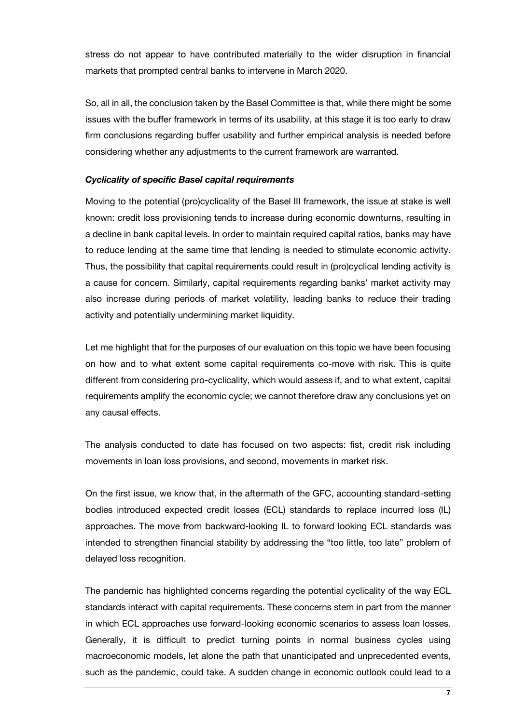stress do not appear to have contributed materially to the wider disruption in financial markets that prompted central banks to intervene in March 2020.

So, all in all, the conclusion taken by the Basel Committee is that, while there might be some issues with the buffer framework in terms of its usability, at this stage it is too early to draw firm conclusions regarding buffer usability and further empirical analysis is needed before considering whether any adjustments to the current framework are warranted.

## *Cyclicality of specific Basel capital requirements*

Moving to the potential (pro)cyclicality of the Basel III framework, the issue at stake is well known: credit loss provisioning tends to increase during economic downturns, resulting in a decline in bank capital levels. In order to maintain required capital ratios, banks may have to reduce lending at the same time that lending is needed to stimulate economic activity. Thus, the possibility that capital requirements could result in (pro)cyclical lending activity is a cause for concern. Similarly, capital requirements regarding banks' market activity may also increase during periods of market volatility, leading banks to reduce their trading activity and potentially undermining market liquidity.

Let me highlight that for the purposes of our evaluation on this topic we have been focusing on how and to what extent some capital requirements co-move with risk. This is quite different from considering pro-cyclicality, which would assess if, and to what extent, capital requirements amplify the economic cycle; we cannot therefore draw any conclusions yet on any causal effects.

The analysis conducted to date has focused on two aspects: fist, credit risk including movements in loan loss provisions, and second, movements in market risk.

On the first issue, we know that, in the aftermath of the GFC, accounting standard-setting bodies introduced expected credit losses (ECL) standards to replace incurred loss (IL) approaches. The move from backward-looking IL to forward looking ECL standards was intended to strengthen financial stability by addressing the "too little, too late" problem of delayed loss recognition.

The pandemic has highlighted concerns regarding the potential cyclicality of the way ECL standards interact with capital requirements. These concerns stem in part from the manner in which ECL approaches use forward-looking economic scenarios to assess loan losses. Generally, it is difficult to predict turning points in normal business cycles using macroeconomic models, let alone the path that unanticipated and unprecedented events, such as the pandemic, could take. A sudden change in economic outlook could lead to a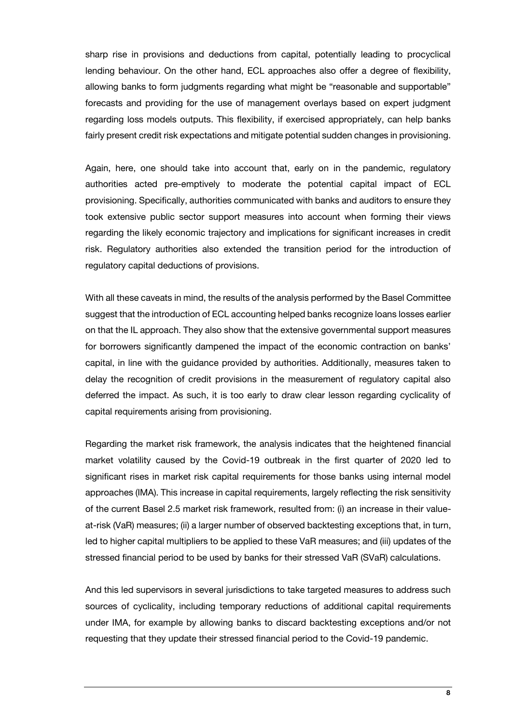sharp rise in provisions and deductions from capital, potentially leading to procyclical lending behaviour. On the other hand, ECL approaches also offer a degree of flexibility, allowing banks to form judgments regarding what might be "reasonable and supportable" forecasts and providing for the use of management overlays based on expert judgment regarding loss models outputs. This flexibility, if exercised appropriately, can help banks fairly present credit risk expectations and mitigate potential sudden changes in provisioning.

Again, here, one should take into account that, early on in the pandemic, regulatory authorities acted pre-emptively to moderate the potential capital impact of ECL provisioning. Specifically, authorities communicated with banks and auditors to ensure they took extensive public sector support measures into account when forming their views regarding the likely economic trajectory and implications for significant increases in credit risk. Regulatory authorities also extended the transition period for the introduction of regulatory capital deductions of provisions.

With all these caveats in mind, the results of the analysis performed by the Basel Committee suggest that the introduction of ECL accounting helped banks recognize loans losses earlier on that the IL approach. They also show that the extensive governmental support measures for borrowers significantly dampened the impact of the economic contraction on banks' capital, in line with the guidance provided by authorities. Additionally, measures taken to delay the recognition of credit provisions in the measurement of regulatory capital also deferred the impact. As such, it is too early to draw clear lesson regarding cyclicality of capital requirements arising from provisioning.

Regarding the market risk framework, the analysis indicates that the heightened financial market volatility caused by the Covid-19 outbreak in the first quarter of 2020 led to significant rises in market risk capital requirements for those banks using internal model approaches (IMA). This increase in capital requirements, largely reflecting the risk sensitivity of the current Basel 2.5 market risk framework, resulted from: (i) an increase in their valueat-risk (VaR) measures; (ii) a larger number of observed backtesting exceptions that, in turn, led to higher capital multipliers to be applied to these VaR measures; and (iii) updates of the stressed financial period to be used by banks for their stressed VaR (SVaR) calculations.

And this led supervisors in several jurisdictions to take targeted measures to address such sources of cyclicality, including temporary reductions of additional capital requirements under IMA, for example by allowing banks to discard backtesting exceptions and/or not requesting that they update their stressed financial period to the Covid-19 pandemic.